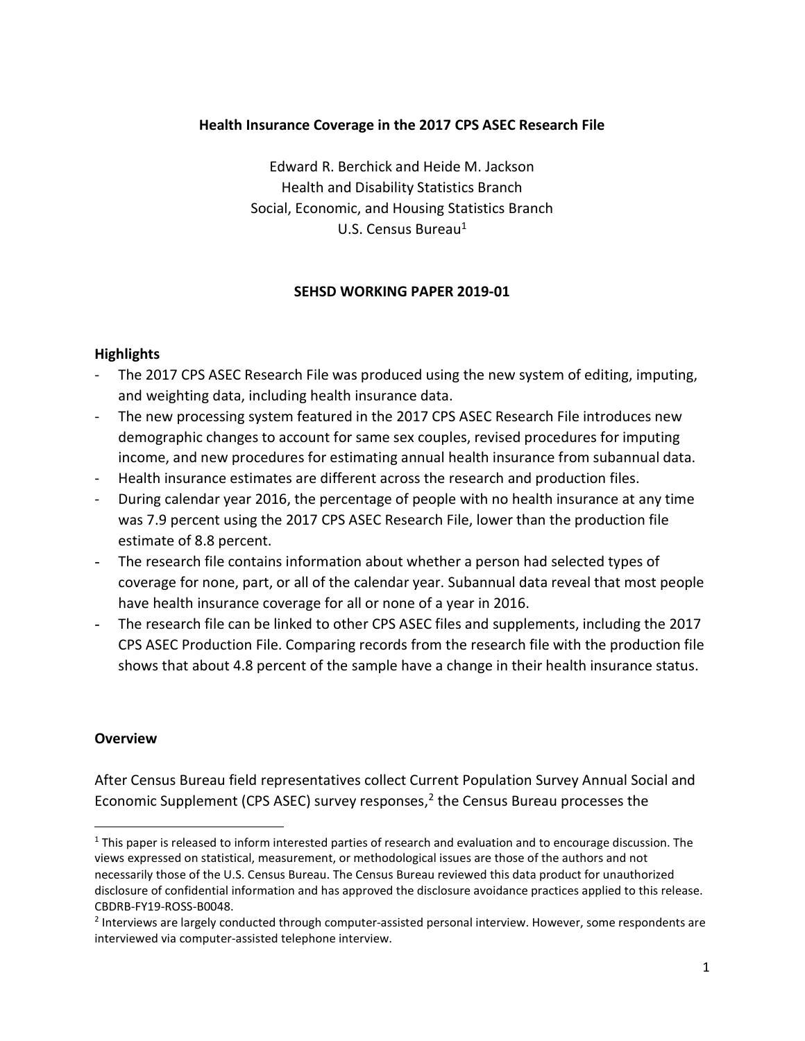## Health Insurance Coverage in the 2017 CPS ASEC Research File

Edward R. Berchick and Heide M. Jackson Health and Disability Statistics Branch Social, Economic, and Housing Statistics Branch U.S. Census Bureau<sup>1</sup>

## SEHSD WORKING PAPER 2019-01

## **Highlights**

- The 2017 CPS ASEC Research File was produced using the new system of editing, imputing, and weighting data, including health insurance data.
- The new processing system featured in the 2017 CPS ASEC Research File introduces new demographic changes to account for same sex couples, revised procedures for imputing income, and new procedures for estimating annual health insurance from subannual data.
- Health insurance estimates are different across the research and production files.
- During calendar year 2016, the percentage of people with no health insurance at any time was 7.9 percent using the 2017 CPS ASEC Research File, lower than the production file estimate of 8.8 percent.
- The research file contains information about whether a person had selected types of coverage for none, part, or all of the calendar year. Subannual data reveal that most people have health insurance coverage for all or none of a year in 2016.
- The research file can be linked to other CPS ASEC files and supplements, including the 2017 CPS ASEC Production File. Comparing records from the research file with the production file shows that about 4.8 percent of the sample have a change in their health insurance status.

## **Overview**

After Census Bureau field representatives collect Current Population Survey Annual Social and Economic Supplement (CPS ASEC) survey responses, $<sup>2</sup>$  the Census Bureau processes the</sup>

 $1$  This paper is released to inform interested parties of research and evaluation and to encourage discussion. The views expressed on statistical, measurement, or methodological issues are those of the authors and not necessarily those of the U.S. Census Bureau. The Census Bureau reviewed this data product for unauthorized disclosure of confidential information and has approved the disclosure avoidance practices applied to this release. CBDRB-FY19-ROSS-B0048.

<sup>&</sup>lt;sup>2</sup> Interviews are largely conducted through computer-assisted personal interview. However, some respondents are interviewed via computer-assisted telephone interview.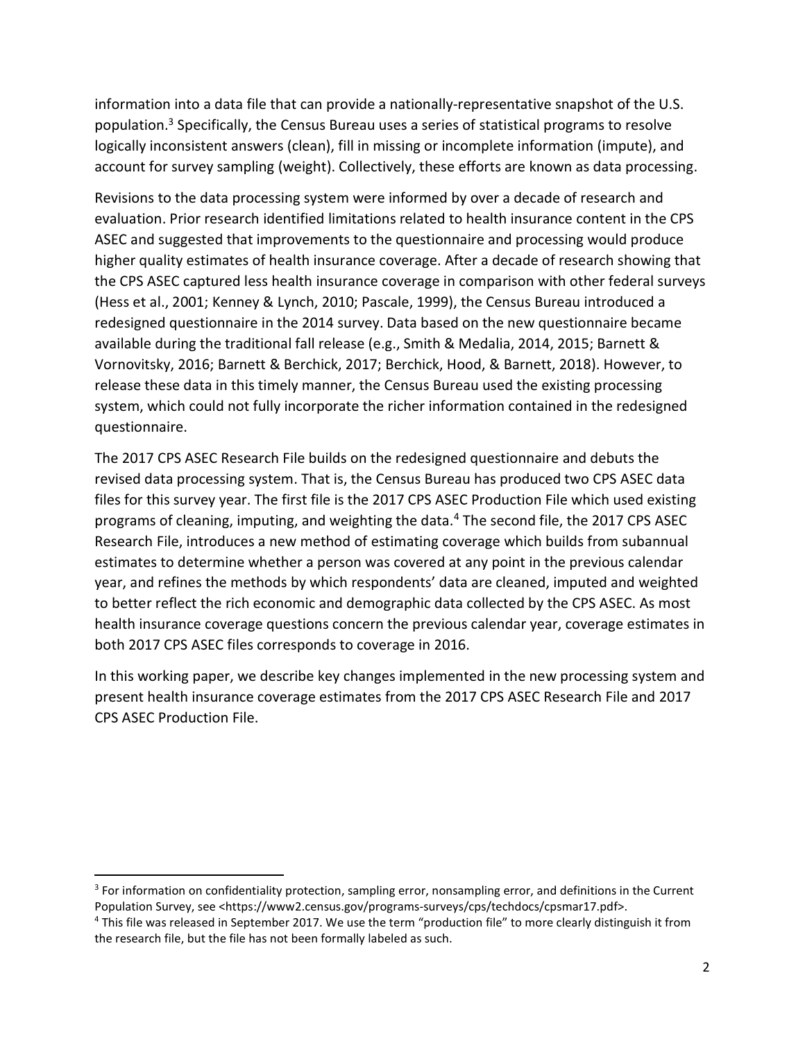information into a data file that can provide a nationally-representative snapshot of the U.S. population.<sup>3</sup> Specifically, the Census Bureau uses a series of statistical programs to resolve logically inconsistent answers (clean), fill in missing or incomplete information (impute), and account for survey sampling (weight). Collectively, these efforts are known as data processing.

Revisions to the data processing system were informed by over a decade of research and evaluation. Prior research identified limitations related to health insurance content in the CPS ASEC and suggested that improvements to the questionnaire and processing would produce higher quality estimates of health insurance coverage. After a decade of research showing that the CPS ASEC captured less health insurance coverage in comparison with other federal surveys (Hess et al., 2001; Kenney & Lynch, 2010; Pascale, 1999), the Census Bureau introduced a redesigned questionnaire in the 2014 survey. Data based on the new questionnaire became available during the traditional fall release (e.g., Smith & Medalia, 2014, 2015; Barnett & Vornovitsky, 2016; Barnett & Berchick, 2017; Berchick, Hood, & Barnett, 2018). However, to release these data in this timely manner, the Census Bureau used the existing processing system, which could not fully incorporate the richer information contained in the redesigned questionnaire.

The 2017 CPS ASEC Research File builds on the redesigned questionnaire and debuts the revised data processing system. That is, the Census Bureau has produced two CPS ASEC data files for this survey year. The first file is the 2017 CPS ASEC Production File which used existing programs of cleaning, imputing, and weighting the data.<sup>4</sup> The second file, the 2017 CPS ASEC Research File, introduces a new method of estimating coverage which builds from subannual estimates to determine whether a person was covered at any point in the previous calendar year, and refines the methods by which respondents' data are cleaned, imputed and weighted to better reflect the rich economic and demographic data collected by the CPS ASEC. As most health insurance coverage questions concern the previous calendar year, coverage estimates in both 2017 CPS ASEC files corresponds to coverage in 2016.

In this working paper, we describe key changes implemented in the new processing system and present health insurance coverage estimates from the 2017 CPS ASEC Research File and 2017 CPS ASEC Production File.

 $\overline{a}$ 

<sup>&</sup>lt;sup>3</sup> For information on confidentiality protection, sampling error, nonsampling error, and definitions in the Current Population Survey, see <https://www2.census.gov/programs-surveys/cps/techdocs/cpsmar17.pdf>.

<sup>&</sup>lt;sup>4</sup> This file was released in September 2017. We use the term "production file" to more clearly distinguish it from the research file, but the file has not been formally labeled as such.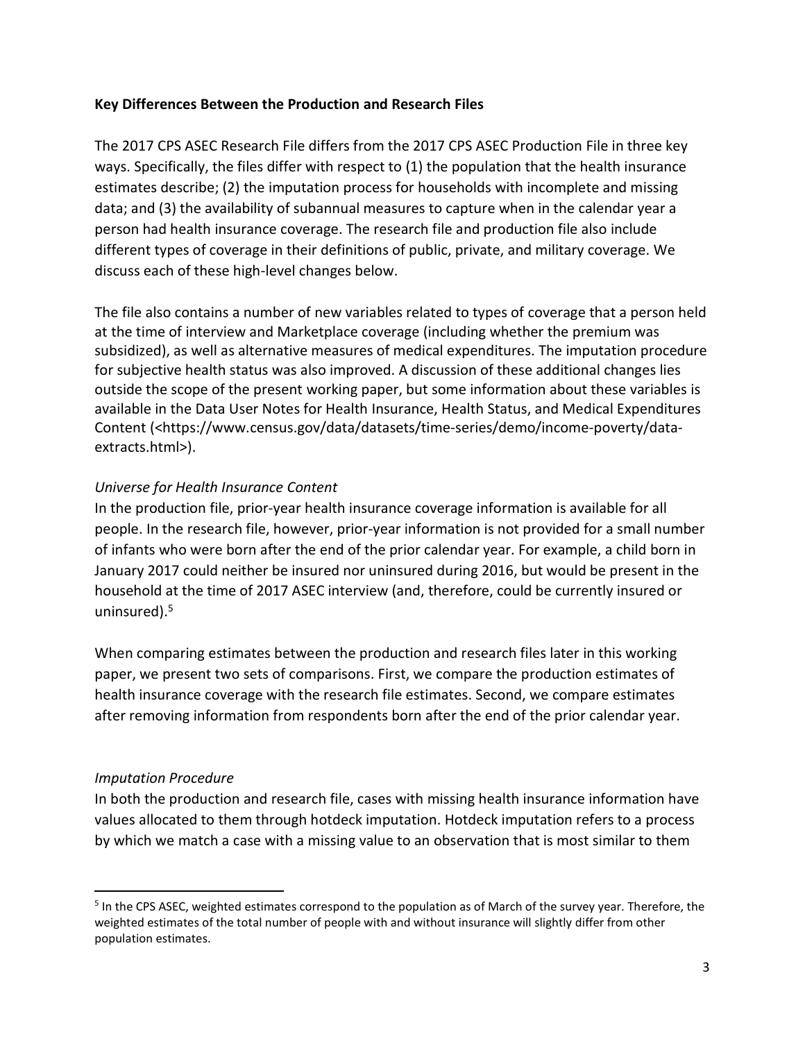## Key Differences Between the Production and Research Files

The 2017 CPS ASEC Research File differs from the 2017 CPS ASEC Production File in three key ways. Specifically, the files differ with respect to (1) the population that the health insurance estimates describe; (2) the imputation process for households with incomplete and missing data; and (3) the availability of subannual measures to capture when in the calendar year a person had health insurance coverage. The research file and production file also include different types of coverage in their definitions of public, private, and military coverage. We discuss each of these high-level changes below.

The file also contains a number of new variables related to types of coverage that a person held at the time of interview and Marketplace coverage (including whether the premium was subsidized), as well as alternative measures of medical expenditures. The imputation procedure for subjective health status was also improved. A discussion of these additional changes lies outside the scope of the present working paper, but some information about these variables is available in the Data User Notes for Health Insurance, Health Status, and Medical Expenditures Content (<https://www.census.gov/data/datasets/time-series/demo/income-poverty/dataextracts.html>).

# Universe for Health Insurance Content

In the production file, prior-year health insurance coverage information is available for all people. In the research file, however, prior-year information is not provided for a small number of infants who were born after the end of the prior calendar year. For example, a child born in January 2017 could neither be insured nor uninsured during 2016, but would be present in the household at the time of 2017 ASEC interview (and, therefore, could be currently insured or uninsured).<sup>5</sup>

When comparing estimates between the production and research files later in this working paper, we present two sets of comparisons. First, we compare the production estimates of health insurance coverage with the research file estimates. Second, we compare estimates after removing information from respondents born after the end of the prior calendar year.

## Imputation Procedure

In both the production and research file, cases with missing health insurance information have values allocated to them through hotdeck imputation. Hotdeck imputation refers to a process by which we match a case with a missing value to an observation that is most similar to them

<sup>&</sup>lt;sup>5</sup> In the CPS ASEC, weighted estimates correspond to the population as of March of the survey year. Therefore, the weighted estimates of the total number of people with and without insurance will slightly differ from other population estimates.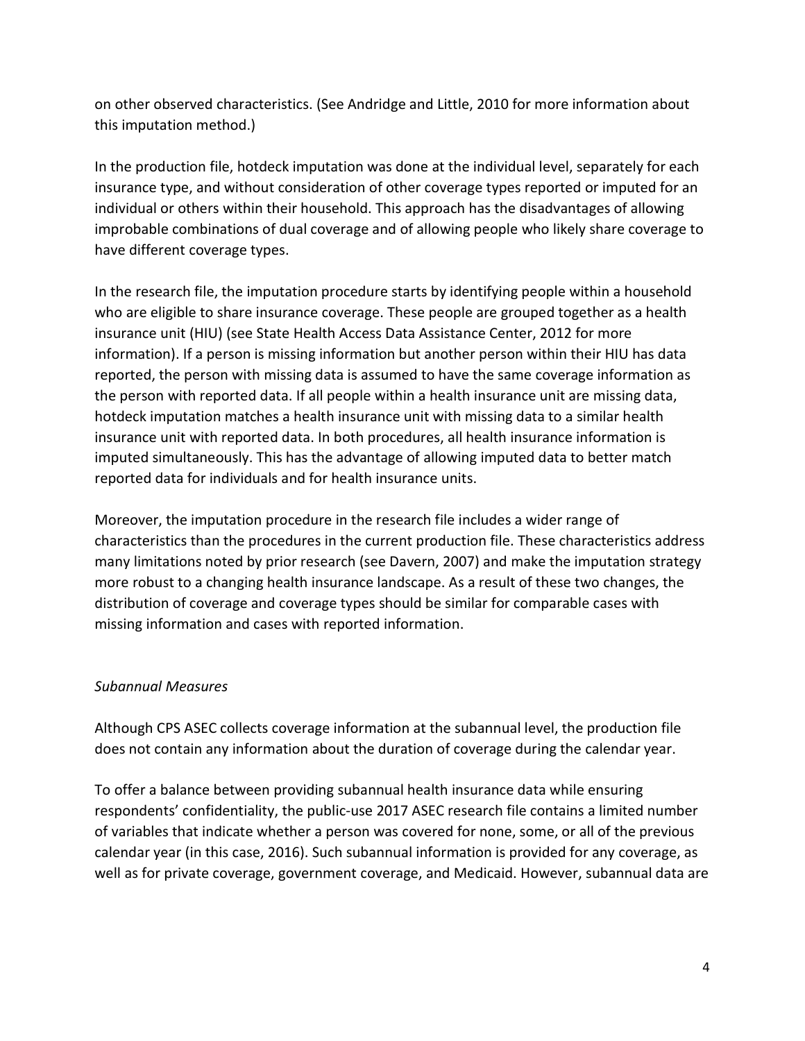on other observed characteristics. (See Andridge and Little, 2010 for more information about this imputation method.)

In the production file, hotdeck imputation was done at the individual level, separately for each insurance type, and without consideration of other coverage types reported or imputed for an individual or others within their household. This approach has the disadvantages of allowing improbable combinations of dual coverage and of allowing people who likely share coverage to have different coverage types.

In the research file, the imputation procedure starts by identifying people within a household who are eligible to share insurance coverage. These people are grouped together as a health insurance unit (HIU) (see State Health Access Data Assistance Center, 2012 for more information). If a person is missing information but another person within their HIU has data reported, the person with missing data is assumed to have the same coverage information as the person with reported data. If all people within a health insurance unit are missing data, hotdeck imputation matches a health insurance unit with missing data to a similar health insurance unit with reported data. In both procedures, all health insurance information is imputed simultaneously. This has the advantage of allowing imputed data to better match reported data for individuals and for health insurance units.

Moreover, the imputation procedure in the research file includes a wider range of characteristics than the procedures in the current production file. These characteristics address many limitations noted by prior research (see Davern, 2007) and make the imputation strategy more robust to a changing health insurance landscape. As a result of these two changes, the distribution of coverage and coverage types should be similar for comparable cases with missing information and cases with reported information.

# Subannual Measures

Although CPS ASEC collects coverage information at the subannual level, the production file does not contain any information about the duration of coverage during the calendar year.

To offer a balance between providing subannual health insurance data while ensuring respondents' confidentiality, the public-use 2017 ASEC research file contains a limited number of variables that indicate whether a person was covered for none, some, or all of the previous calendar year (in this case, 2016). Such subannual information is provided for any coverage, as well as for private coverage, government coverage, and Medicaid. However, subannual data are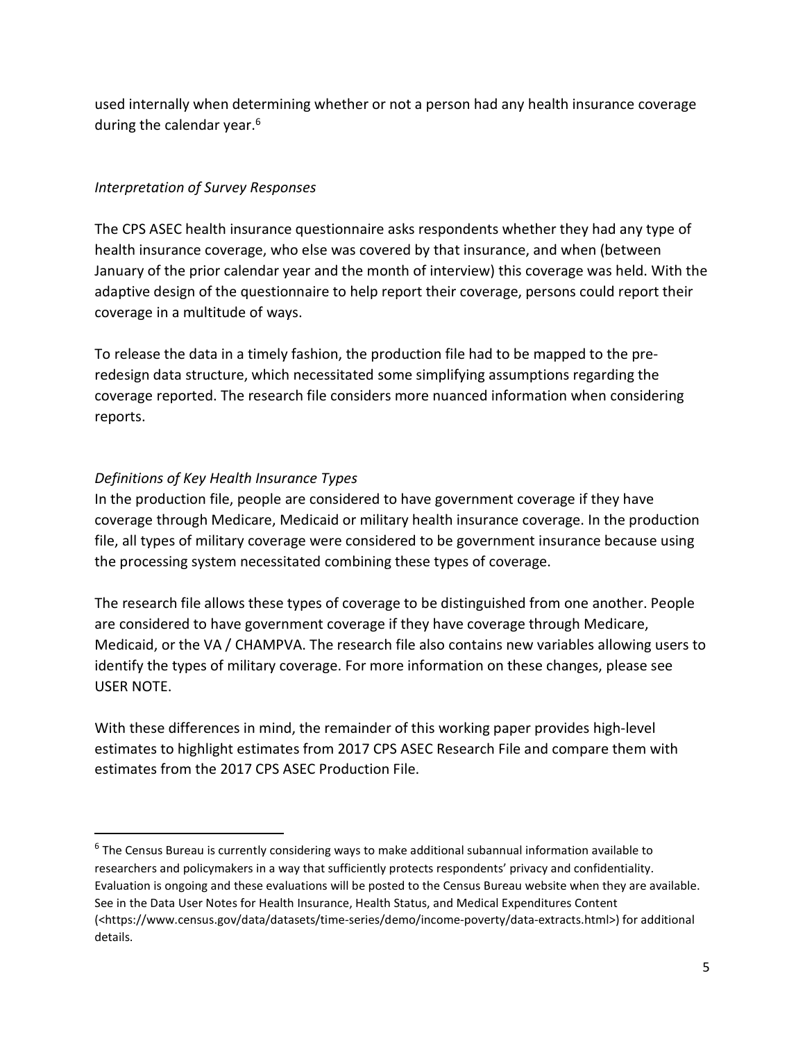used internally when determining whether or not a person had any health insurance coverage during the calendar year.<sup>6</sup>

# Interpretation of Survey Responses

The CPS ASEC health insurance questionnaire asks respondents whether they had any type of health insurance coverage, who else was covered by that insurance, and when (between January of the prior calendar year and the month of interview) this coverage was held. With the adaptive design of the questionnaire to help report their coverage, persons could report their coverage in a multitude of ways.

To release the data in a timely fashion, the production file had to be mapped to the preredesign data structure, which necessitated some simplifying assumptions regarding the coverage reported. The research file considers more nuanced information when considering reports.

# Definitions of Key Health Insurance Types

 $\overline{a}$ 

In the production file, people are considered to have government coverage if they have coverage through Medicare, Medicaid or military health insurance coverage. In the production file, all types of military coverage were considered to be government insurance because using the processing system necessitated combining these types of coverage.

The research file allows these types of coverage to be distinguished from one another. People are considered to have government coverage if they have coverage through Medicare, Medicaid, or the VA / CHAMPVA. The research file also contains new variables allowing users to identify the types of military coverage. For more information on these changes, please see USER NOTE.

With these differences in mind, the remainder of this working paper provides high-level estimates to highlight estimates from 2017 CPS ASEC Research File and compare them with estimates from the 2017 CPS ASEC Production File.

<sup>6</sup> The Census Bureau is currently considering ways to make additional subannual information available to researchers and policymakers in a way that sufficiently protects respondents' privacy and confidentiality. Evaluation is ongoing and these evaluations will be posted to the Census Bureau website when they are available. See in the Data User Notes for Health Insurance, Health Status, and Medical Expenditures Content (<https://www.census.gov/data/datasets/time-series/demo/income-poverty/data-extracts.html>) for additional details.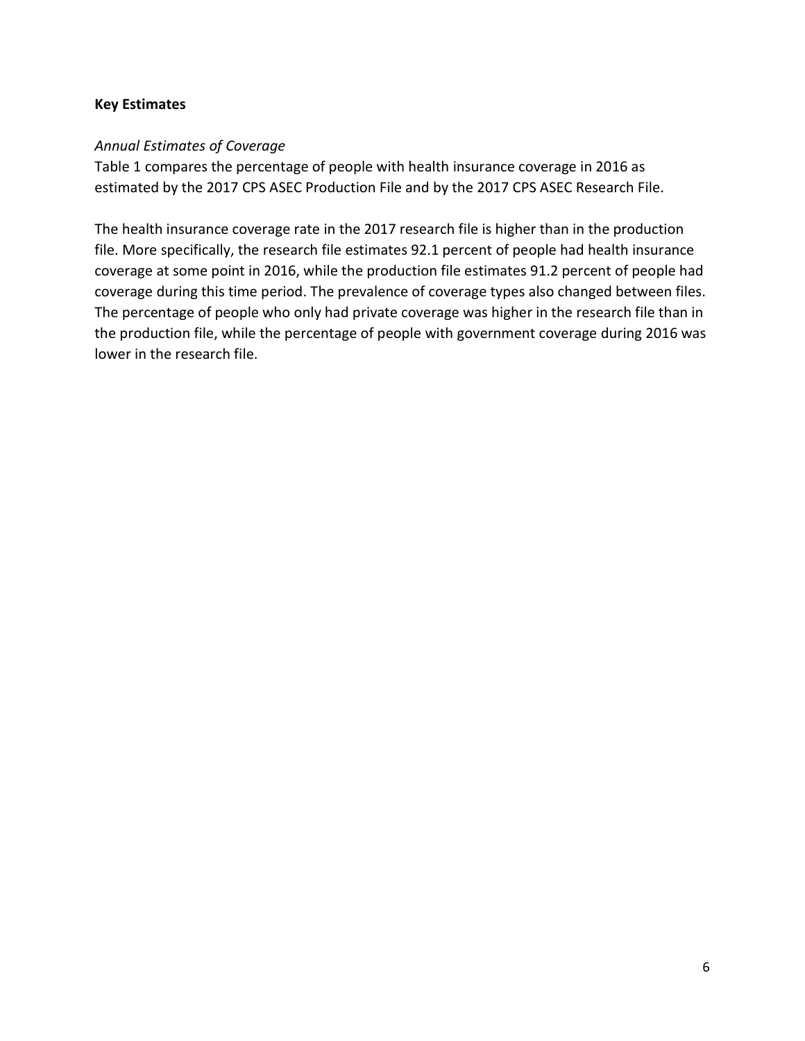## Key Estimates

## Annual Estimates of Coverage

Table 1 compares the percentage of people with health insurance coverage in 2016 as estimated by the 2017 CPS ASEC Production File and by the 2017 CPS ASEC Research File.

The health insurance coverage rate in the 2017 research file is higher than in the production file. More specifically, the research file estimates 92.1 percent of people had health insurance coverage at some point in 2016, while the production file estimates 91.2 percent of people had coverage during this time period. The prevalence of coverage types also changed between files. The percentage of people who only had private coverage was higher in the research file than in the production file, while the percentage of people with government coverage during 2016 was lower in the research file.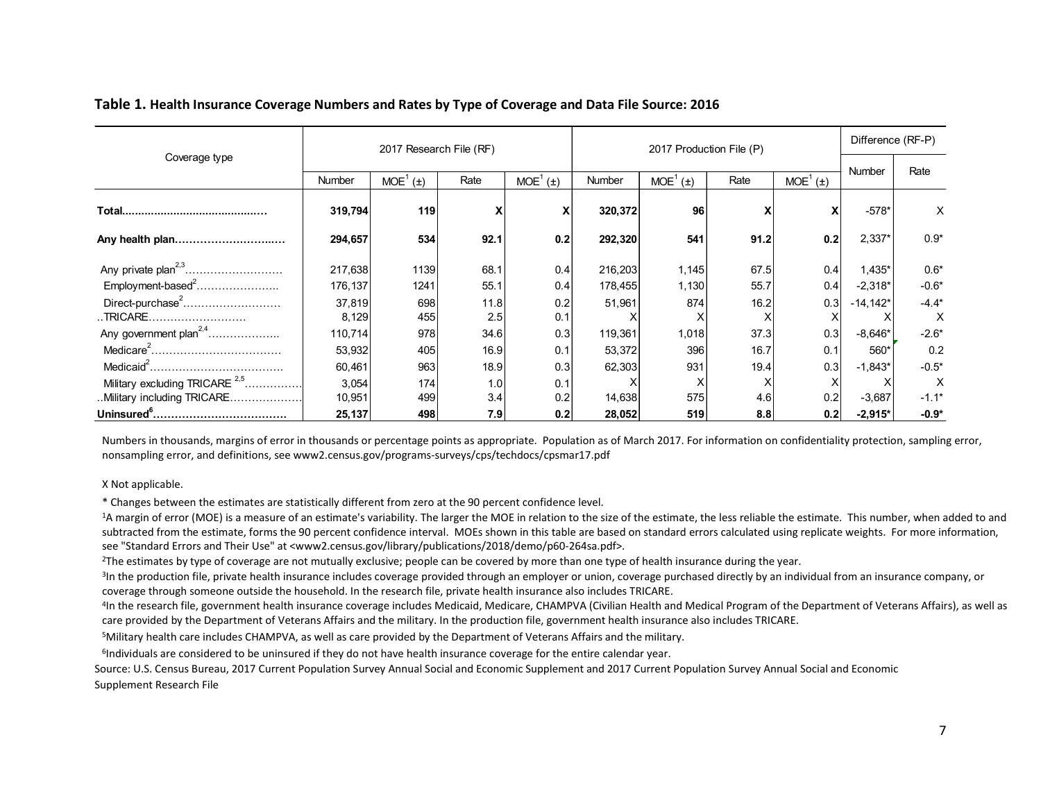#### Table 1. Health Insurance Coverage Numbers and Rates by Type of Coverage and Data File Source: 2016

| Table 1. Health Insurance Coverage Numbers and Rates by Type of Coverage and Data File Source: 2016 |                  |                         |                           |                      |                  |                                                                                  |                           |                           |                       |                           |
|-----------------------------------------------------------------------------------------------------|------------------|-------------------------|---------------------------|----------------------|------------------|----------------------------------------------------------------------------------|---------------------------|---------------------------|-----------------------|---------------------------|
|                                                                                                     |                  |                         |                           |                      |                  |                                                                                  |                           |                           | Difference (RF-P)     |                           |
| Coverage type                                                                                       |                  | 2017 Research File (RF) |                           |                      |                  |                                                                                  |                           |                           |                       |                           |
|                                                                                                     |                  |                         |                           |                      |                  | 2017 Production File (P)<br>MOE <sup>1</sup> (±)<br>MOE <sup>1</sup> (±)<br>Rate | Number                    | Rate                      |                       |                           |
|                                                                                                     | Number           | MOE <sup>1</sup> (±)    | Rate                      | MOE <sup>1</sup> (±) | Number           |                                                                                  |                           |                           |                       |                           |
|                                                                                                     |                  |                         |                           |                      |                  |                                                                                  |                           |                           |                       |                           |
|                                                                                                     | 319,794          | 119                     | $\boldsymbol{\mathsf{x}}$ | X                    | 320,372          | 96                                                                               | $\boldsymbol{\mathsf{x}}$ | $\boldsymbol{\mathsf{x}}$ | $-578*$               | $\times$                  |
|                                                                                                     | 294,657          | 534                     | 92.1                      | 0.2                  | 292,320          | 541                                                                              | 91.2                      | 0.2                       | $2,337*$              | $0.9*$                    |
|                                                                                                     |                  |                         |                           |                      |                  |                                                                                  |                           |                           |                       |                           |
|                                                                                                     | 217,638          | 1139                    | 68.1                      | 0.4                  | 216,203          | 1,145                                                                            | 67.5                      | 0.4                       | $1,435*$              | $0.6*$                    |
| Any private plan <sup>2,3</sup>                                                                     |                  | 1241                    | 55.1                      | 0.4                  | 178,455          | 1,130                                                                            | 55.7                      | 0.4                       | $-2,318*$             | $-0.6*$                   |
| Employment-based <sup>2</sup>                                                                       | 176,137          |                         |                           |                      | 51,961           | 874                                                                              | 16.2                      | 0.3                       | $-14,142*$            | $-4.4*$                   |
| Direct-purchase <sup>2</sup>                                                                        | 37,819           | 698                     | 11.8                      | 0.2                  |                  |                                                                                  | $\times$                  | X                         | X                     | $\boldsymbol{\mathsf{X}}$ |
|                                                                                                     | 8,129            | 455                     | 2.5                       | 0.1                  | Х                | X                                                                                |                           |                           |                       |                           |
| Any government plan <sup>2,4</sup>                                                                  | 110,714          | 978                     | 34.6                      | 0.3                  | 119,361          | 1,018                                                                            | 37.3                      | 0.3                       | $-8,646*$             | $-2.6*$                   |
|                                                                                                     |                  |                         | 16.9                      | 0.1                  |                  | 396                                                                              | 16.7                      |                           | 560*                  | 0.2                       |
|                                                                                                     | 53,932           | 405                     |                           |                      | 53,372           |                                                                                  |                           | 0.1                       |                       |                           |
|                                                                                                     | 60,461           | 963                     | 18.9                      | 0.3                  | 62,303           | 931                                                                              | 19.4                      | 0.3                       | $-1,843*$             | $-0.5*$                   |
| Military excluding TRICARE <sup>2,5</sup>                                                           | 3,054            | 174                     | 1.0                       | 0.1                  | $\times$         | $\times$                                                                         | Χ                         | $\times$                  | Χ                     | $\boldsymbol{\mathsf{X}}$ |
| Military including TRICARE                                                                          | 10,951<br>25,137 | 499<br>498              | 3.4<br>7.9                | 0.2<br>0.2           | 14,638<br>28,052 | 575<br>519                                                                       | 4.6<br>8.8                | 0.2<br>0.2                | $-3,687$<br>$-2,915*$ | $-1.1*$<br>$-0.9*$        |

X Not applicable.

\* Changes between the estimates are statistically different from zero at the 90 percent confidence level.

<sup>1</sup>A margin of error (MOE) is a measure of an estimate's variability. The larger the MOE in relation to the size of the estimate, the less reliable the estimate. This number, when added to and subtracted from the estimate, forms the 90 percent confidence interval. MOEs shown in this table are based on standard errors calculated using replicate weights. For more information, see "Standard Errors and Their Use" at <www2.census.gov/library/publications/2018/demo/p60-264sa.pdf>.

<sup>2</sup>The estimates by type of coverage are not mutually exclusive; people can be covered by more than one type of health insurance during the year.

<sup>3</sup>In the production file, private health insurance includes coverage provided through an employer or union, coverage purchased directly by an individual from an insurance company, or coverage through someone outside the household. In the research file, private health insurance also includes TRICARE.

4 In the research file, government health insurance coverage includes Medicaid, Medicare, CHAMPVA (Civilian Health and Medical Program of the Department of Veterans Affairs), as well as care provided by the Department of Veterans Affairs and the military. In the production file, government health insurance also includes TRICARE.

<sup>5</sup>Military health care includes CHAMPVA, as well as care provided by the Department of Veterans Affairs and the military.

<sup>6</sup>Individuals are considered to be uninsured if they do not have health insurance coverage for the entire calendar year.

Source: U.S. Census Bureau, 2017 Current Population Survey Annual Social and Economic Supplement and 2017 Current Population Survey Annual Social and Economic Supplement Research File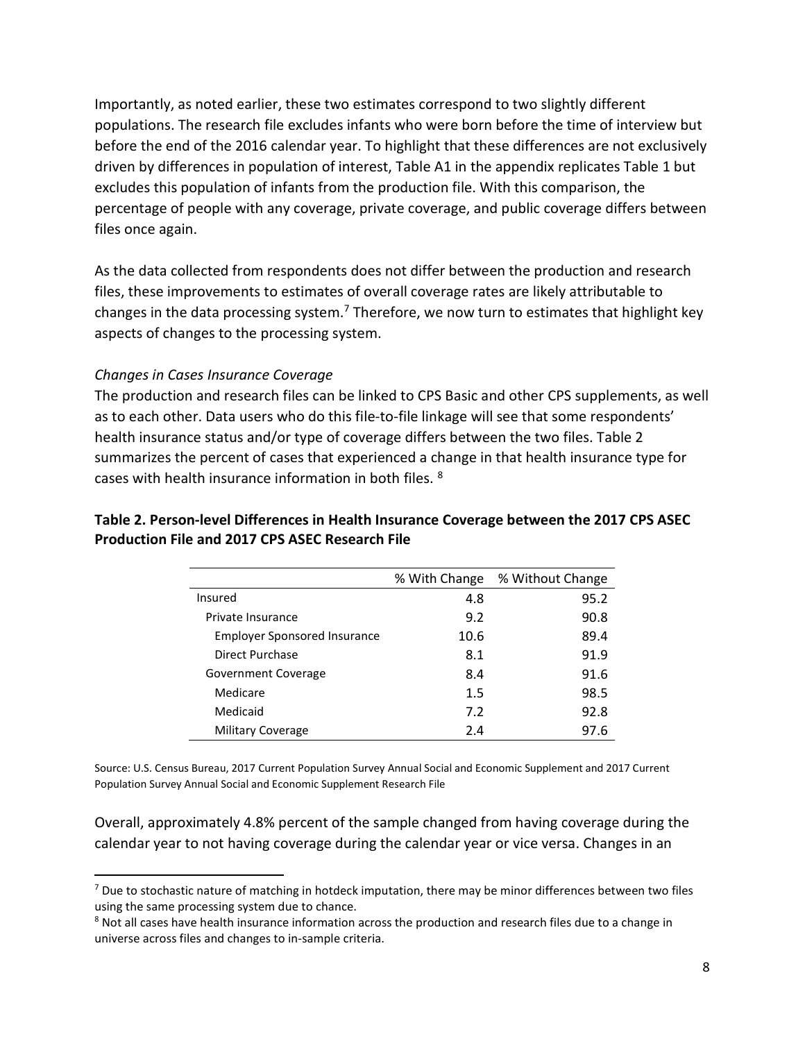Importantly, as noted earlier, these two estimates correspond to two slightly different populations. The research file excludes infants who were born before the time of interview but before the end of the 2016 calendar year. To highlight that these differences are not exclusively driven by differences in population of interest, Table A1 in the appendix replicates Table 1 but excludes this population of infants from the production file. With this comparison, the percentage of people with any coverage, private coverage, and public coverage differs between files once again.

As the data collected from respondents does not differ between the production and research files, these improvements to estimates of overall coverage rates are likely attributable to changes in the data processing system.<sup>7</sup> Therefore, we now turn to estimates that highlight key aspects of changes to the processing system.

## Changes in Cases Insurance Coverage

 $\overline{a}$ 

The production and research files can be linked to CPS Basic and other CPS supplements, as well as to each other. Data users who do this file-to-file linkage will see that some respondents' health insurance status and/or type of coverage differs between the two files. Table 2 summarizes the percent of cases that experienced a change in that health insurance type for cases with health insurance information in both files. <sup>8</sup>

# Table 2. Person-level Differences in Health Insurance Coverage between the 2017 CPS ASEC Production File and 2017 CPS ASEC Research File

|                                     | % With Change | % Without Change |
|-------------------------------------|---------------|------------------|
| Insured                             | 4.8           | 95.2             |
| Private Insurance                   | 9.2           | 90.8             |
| <b>Employer Sponsored Insurance</b> | 10.6          | 89.4             |
| Direct Purchase                     | 8.1           | 91.9             |
| Government Coverage                 | 8.4           | 91.6             |
| Medicare                            | 1.5           | 98.5             |
| Medicaid                            | 7.2           | 92.8             |
| <b>Military Coverage</b>            | 2.4           | 97.6             |
|                                     |               |                  |

Source: U.S. Census Bureau, 2017 Current Population Survey Annual Social and Economic Supplement and 2017 Current Population Survey Annual Social and Economic Supplement Research File

Overall, approximately 4.8% percent of the sample changed from having coverage during the calendar year to not having coverage during the calendar year or vice versa. Changes in an

 $7$  Due to stochastic nature of matching in hotdeck imputation, there may be minor differences between two files using the same processing system due to chance.

<sup>&</sup>lt;sup>8</sup> Not all cases have health insurance information across the production and research files due to a change in universe across files and changes to in-sample criteria.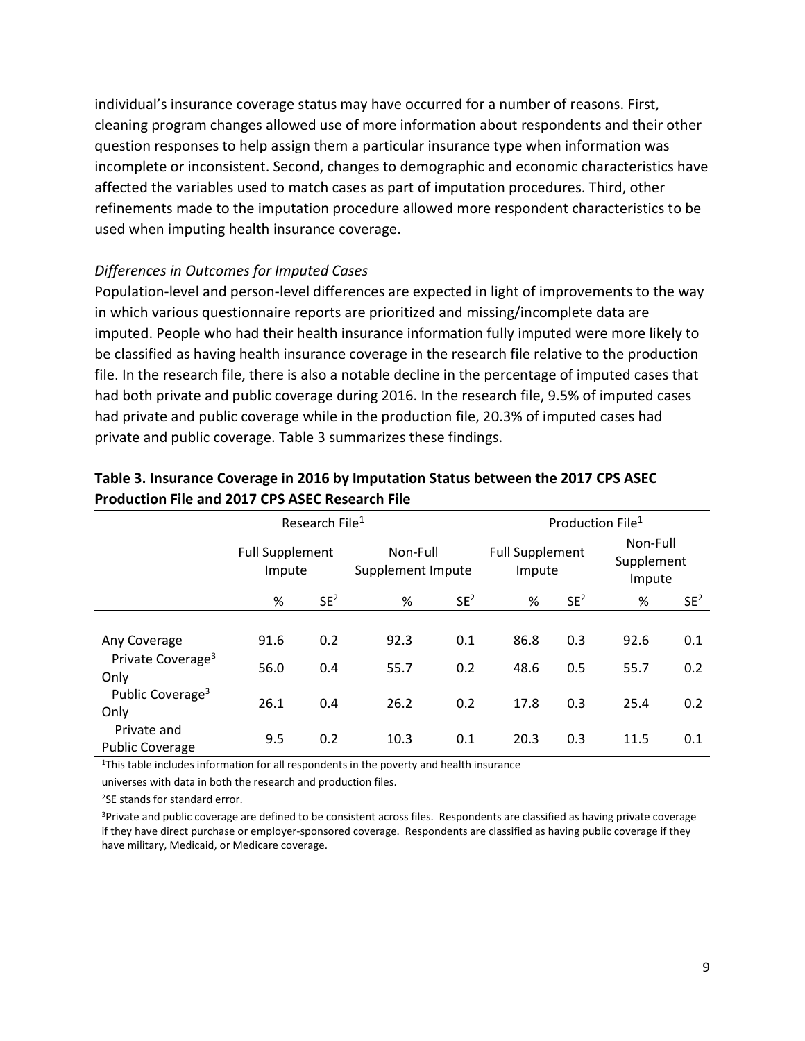individual's insurance coverage status may have occurred for a number of reasons. First, cleaning program changes allowed use of more information about respondents and their other question responses to help assign them a particular insurance type when information was incomplete or inconsistent. Second, changes to demographic and economic characteristics have affected the variables used to match cases as part of imputation procedures. Third, other refinements made to the imputation procedure allowed more respondent characteristics to be used when imputing health insurance coverage.

### Differences in Outcomes for Imputed Cases

Population-level and person-level differences are expected in light of improvements to the way in which various questionnaire reports are prioritized and missing/incomplete data are imputed. People who had their health insurance information fully imputed were more likely to be classified as having health insurance coverage in the research file relative to the production file. In the research file, there is also a notable decline in the percentage of imputed cases that had both private and public coverage during 2016. In the research file, 9.5% of imputed cases had private and public coverage while in the production file, 20.3% of imputed cases had private and public coverage. Table 3 summarizes these findings.

|                                                       |                                  | Research File <sup>1</sup> |                               |                 |                                  | Production File <sup>1</sup> |                                  |                 |
|-------------------------------------------------------|----------------------------------|----------------------------|-------------------------------|-----------------|----------------------------------|------------------------------|----------------------------------|-----------------|
|                                                       | <b>Full Supplement</b><br>Impute |                            | Non-Full<br>Supplement Impute |                 | <b>Full Supplement</b><br>Impute |                              | Non-Full<br>Supplement<br>Impute |                 |
|                                                       | %                                | SE <sup>2</sup>            | %                             | SE <sup>2</sup> | %                                | SE <sup>2</sup>              | %                                | SE <sup>2</sup> |
| Any Coverage<br>Private Coverage <sup>3</sup><br>Only | 91.6<br>56.0                     | 0.2<br>0.4                 | 92.3<br>55.7                  | 0.1<br>0.2      | 86.8<br>48.6                     | 0.3<br>0.5                   | 92.6<br>55.7                     | 0.1<br>0.2      |
| Public Coverage <sup>3</sup><br>Only                  | 26.1                             | 0.4                        | 26.2                          | 0.2             | 17.8                             | 0.3                          | 25.4                             | 0.2             |
| Private and<br><b>Public Coverage</b>                 | 9.5                              | 0.2                        | 10.3                          | 0.1             | 20.3                             | 0.3                          | 11.5                             | 0.1             |

## Table 3. Insurance Coverage in 2016 by Imputation Status between the 2017 CPS ASEC Production File and 2017 CPS ASEC Research File

<sup>1</sup>This table includes information for all respondents in the poverty and health insurance

universes with data in both the research and production files.

<sup>2</sup>SE stands for standard error.

<sup>3</sup>Private and public coverage are defined to be consistent across files. Respondents are classified as having private coverage if they have direct purchase or employer-sponsored coverage. Respondents are classified as having public coverage if they have military, Medicaid, or Medicare coverage.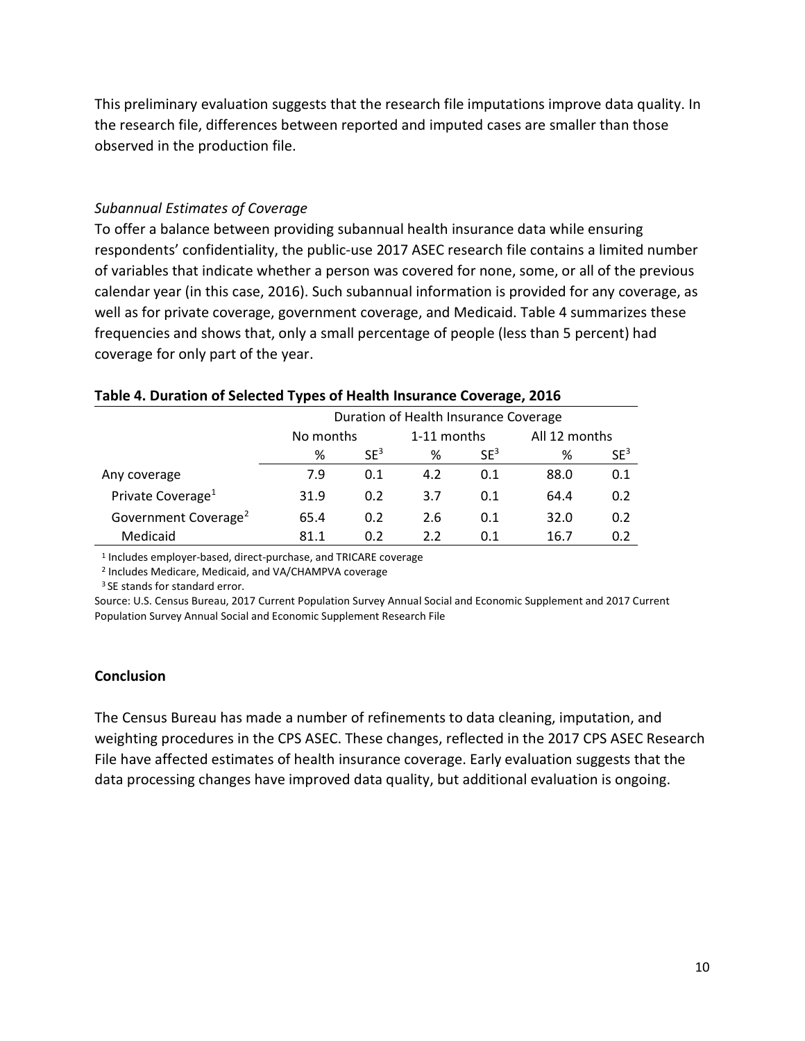This preliminary evaluation suggests that the research file imputations improve data quality. In the research file, differences between reported and imputed cases are smaller than those observed in the production file.

## Subannual Estimates of Coverage

To offer a balance between providing subannual health insurance data while ensuring respondents' confidentiality, the public-use 2017 ASEC research file contains a limited number of variables that indicate whether a person was covered for none, some, or all of the previous calendar year (in this case, 2016). Such subannual information is provided for any coverage, as well as for private coverage, government coverage, and Medicaid. Table 4 summarizes these frequencies and shows that, only a small percentage of people (less than 5 percent) had coverage for only part of the year.

|                                  |           |                 | Duration of Health Insurance Coverage |                 |               |                 |
|----------------------------------|-----------|-----------------|---------------------------------------|-----------------|---------------|-----------------|
|                                  | No months |                 | 1-11 months                           |                 | All 12 months |                 |
|                                  | %         | SE <sup>3</sup> | %                                     | SE <sup>3</sup> | %             | SE <sup>3</sup> |
| Any coverage                     | 7.9       | 0.1             | 4.2                                   | 0.1             | 88.0          | 0.1             |
| Private Coverage <sup>1</sup>    | 31.9      | 0.2             | 3.7                                   | 0.1             | 64.4          | 0.2             |
| Government Coverage <sup>2</sup> | 65.4      | 0.2             | 2.6                                   | 0.1             | 32.0          | 0.2             |
| Medicaid                         | 81.1      | 0.2             | 2.2                                   | 0.1             | 16.7          | 0.2             |

## Table 4. Duration of Selected Types of Health Insurance Coverage, 2016

<sup>1</sup> Includes employer-based, direct-purchase, and TRICARE coverage

2 Includes Medicare, Medicaid, and VA/CHAMPVA coverage

<sup>3</sup> SE stands for standard error.

Source: U.S. Census Bureau, 2017 Current Population Survey Annual Social and Economic Supplement and 2017 Current Population Survey Annual Social and Economic Supplement Research File

## **Conclusion**

The Census Bureau has made a number of refinements to data cleaning, imputation, and weighting procedures in the CPS ASEC. These changes, reflected in the 2017 CPS ASEC Research File have affected estimates of health insurance coverage. Early evaluation suggests that the data processing changes have improved data quality, but additional evaluation is ongoing.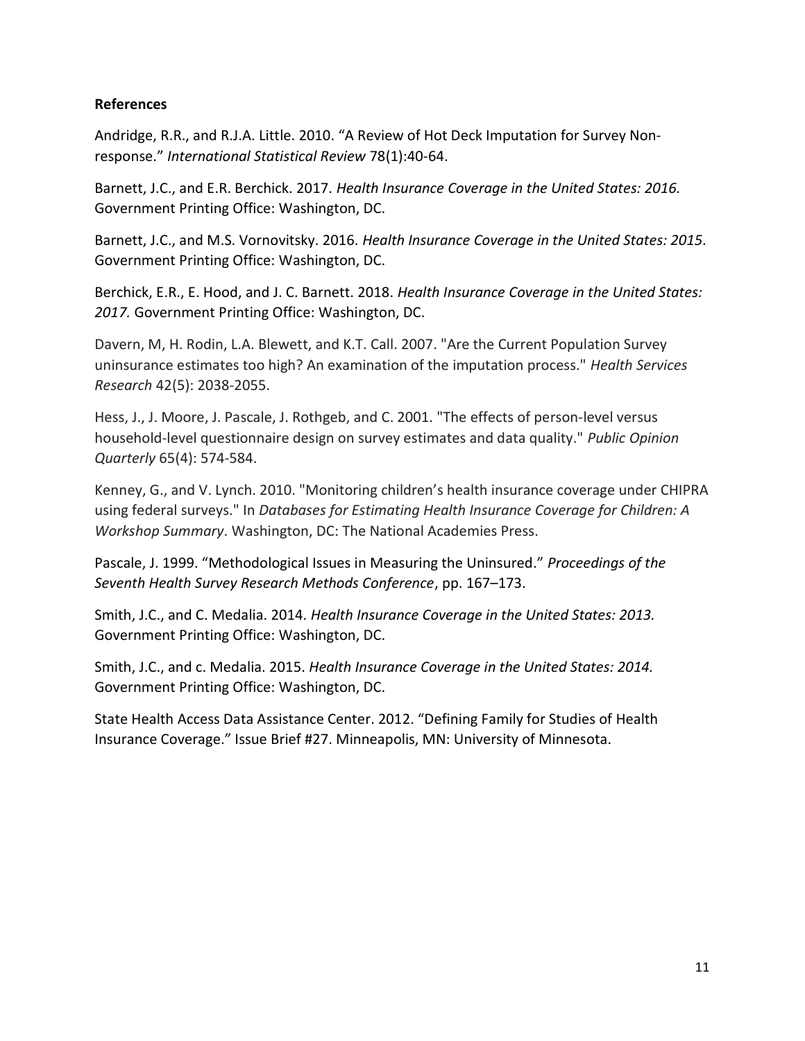## References

Andridge, R.R., and R.J.A. Little. 2010. "A Review of Hot Deck Imputation for Survey Nonresponse." International Statistical Review 78(1):40-64.

Barnett, J.C., and E.R. Berchick. 2017. Health Insurance Coverage in the United States: 2016. Government Printing Office: Washington, DC.

Barnett, J.C., and M.S. Vornovitsky. 2016. Health Insurance Coverage in the United States: 2015. Government Printing Office: Washington, DC.

Berchick, E.R., E. Hood, and J. C. Barnett. 2018. Health Insurance Coverage in the United States: 2017. Government Printing Office: Washington, DC.

Davern, M, H. Rodin, L.A. Blewett, and K.T. Call. 2007. "Are the Current Population Survey uninsurance estimates too high? An examination of the imputation process." Health Services Research 42(5): 2038-2055.

Hess, J., J. Moore, J. Pascale, J. Rothgeb, and C. 2001. "The effects of person-level versus household-level questionnaire design on survey estimates and data quality." Public Opinion Quarterly 65(4): 574-584.

Kenney, G., and V. Lynch. 2010. "Monitoring children's health insurance coverage under CHIPRA using federal surveys." In Databases for Estimating Health Insurance Coverage for Children: A Workshop Summary. Washington, DC: The National Academies Press.

Pascale, J. 1999. "Methodological Issues in Measuring the Uninsured." Proceedings of the Seventh Health Survey Research Methods Conference, pp. 167–173.

Smith, J.C., and C. Medalia. 2014. Health Insurance Coverage in the United States: 2013. Government Printing Office: Washington, DC.

Smith, J.C., and c. Medalia. 2015. Health Insurance Coverage in the United States: 2014. Government Printing Office: Washington, DC.

State Health Access Data Assistance Center. 2012. "Defining Family for Studies of Health Insurance Coverage." Issue Brief #27. Minneapolis, MN: University of Minnesota.